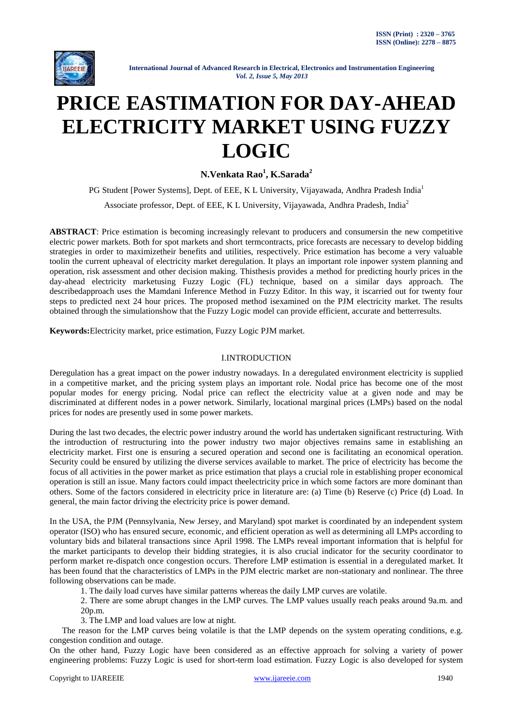

# **PRICE EASTIMATION FOR DAY-AHEAD ELECTRICITY MARKET USING FUZZY LOGIC**

**N.Venkata Rao<sup>1</sup> , K.Sarada<sup>2</sup>**

PG Student [Power Systems], Dept. of EEE, K L University, Vijayawada, Andhra Pradesh India<sup>1</sup>

Associate professor, Dept. of EEE, K L University, Vijayawada, Andhra Pradesh, India<sup>2</sup>

**ABSTRACT**: Price estimation is becoming increasingly relevant to producers and consumersin the new competitive electric power markets. Both for spot markets and short termcontracts, price forecasts are necessary to develop bidding strategies in order to maximizetheir benefits and utilities, respectively. Price estimation has become a very valuable toolin the current upheaval of electricity market deregulation. It plays an important role inpower system planning and operation, risk assessment and other decision making. Thisthesis provides a method for predicting hourly prices in the day-ahead electricity marketusing Fuzzy Logic (FL) technique, based on a similar days approach. The describedapproach uses the Mamdani Inference Method in Fuzzy Editor. In this way, it iscarried out for twenty four steps to predicted next 24 hour prices. The proposed method isexamined on the PJM electricity market. The results obtained through the simulationshow that the Fuzzy Logic model can provide efficient, accurate and betterresults.

**Keywords:**Electricity market, price estimation, Fuzzy Logic PJM market.

### I.INTRODUCTION

Deregulation has a great impact on the power industry nowadays. In a deregulated environment electricity is supplied in a competitive market, and the pricing system plays an important role. Nodal price has become one of the most popular modes for energy pricing. Nodal price can reflect the electricity value at a given node and may be discriminated at different nodes in a power network. Similarly, locational marginal prices (LMPs) based on the nodal prices for nodes are presently used in some power markets.

During the last two decades, the electric power industry around the world has undertaken significant restructuring. With the introduction of restructuring into the power industry two major objectives remains same in establishing an electricity market. First one is ensuring a secured operation and second one is facilitating an economical operation. Security could be ensured by utilizing the diverse services available to market. The price of electricity has become the focus of all activities in the power market as price estimation that plays a crucial role in establishing proper economical operation is still an issue. Many factors could impact theelectricity price in which some factors are more dominant than others. Some of the factors considered in electricity price in literature are: (a) Time (b) Reserve (c) Price (d) Load. In general, the main factor driving the electricity price is power demand.

In the USA, the PJM (Pennsylvania, New Jersey, and Maryland) spot market is coordinated by an independent system operator (ISO) who has ensured secure, economic, and efficient operation as well as determining all LMPs according to voluntary bids and bilateral transactions since April 1998. The LMPs reveal important information that is helpful for the market participants to develop their bidding strategies, it is also crucial indicator for the security coordinator to perform market re-dispatch once congestion occurs. Therefore LMP estimation is essential in a deregulated market. It has been found that the characteristics of LMPs in the PJM electric market are non-stationary and nonlinear. The three following observations can be made.

1. The daily load curves have similar patterns whereas the daily LMP curves are volatile.

2. There are some abrupt changes in the LMP curves. The LMP values usually reach peaks around 9a.m. and 20p.m.

3. The LMP and load values are low at night.

The reason for the LMP curves being volatile is that the LMP depends on the system operating conditions, e.g. congestion condition and outage.

On the other hand, Fuzzy Logic have been considered as an effective approach for solving a variety of power engineering problems: Fuzzy Logic is used for short-term load estimation. Fuzzy Logic is also developed for system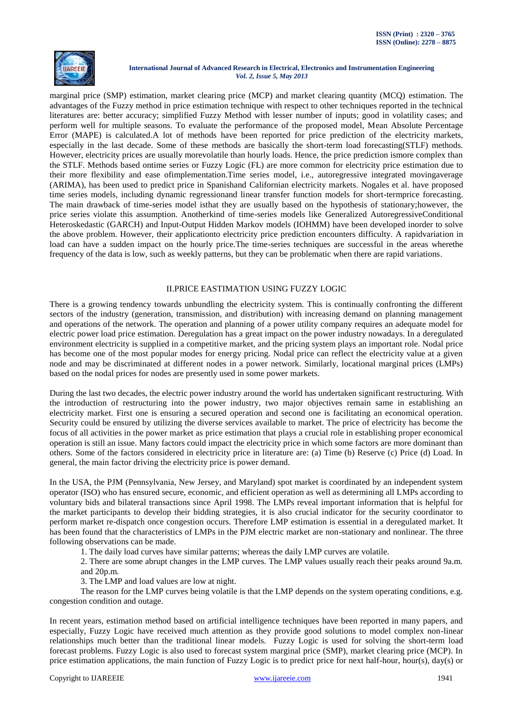

marginal price (SMP) estimation, market clearing price (MCP) and market clearing quantity (MCQ) estimation. The advantages of the Fuzzy method in price estimation technique with respect to other techniques reported in the technical literatures are: better accuracy; simplified Fuzzy Method with lesser number of inputs; good in volatility cases; and perform well for multiple seasons. To evaluate the performance of the proposed model, Mean Absolute Percentage Error (MAPE) is calculated.A lot of methods have been reported for price prediction of the electricity markets, especially in the last decade. Some of these methods are basically the short-term load forecasting(STLF) methods. However, electricity prices are usually morevolatile than hourly loads. Hence, the price prediction ismore complex than the STLF. Methods based ontime series or Fuzzy Logic (FL) are more common for electricity price estimation due to their more flexibility and ease ofimplementation.Time series model, i.e., autoregressive integrated movingaverage (ARIMA), has been used to predict price in Spanishand Californian electricity markets. Nogales et al. have proposed time series models, including dynamic regressionand linear transfer function models for short-termprice forecasting. The main drawback of time-series model isthat they are usually based on the hypothesis of stationary;however, the price series violate this assumption. Anotherkind of time-series models like Generalized AutoregressiveConditional Heteroskedastic (GARCH) and Input-Output Hidden Markov models (IOHMM) have been developed inorder to solve the above problem. However, their applicationto electricity price prediction encounters difficulty. A rapidvariation in load can have a sudden impact on the hourly price.The time-series techniques are successful in the areas wherethe frequency of the data is low, such as weekly patterns, but they can be problematic when there are rapid variations.

## II.PRICE EASTIMATION USING FUZZY LOGIC

There is a growing tendency towards unbundling the electricity system. This is continually confronting the different sectors of the industry (generation, transmission, and distribution) with increasing demand on planning management and operations of the network. The operation and planning of a power utility company requires an adequate model for electric power load price estimation. Deregulation has a great impact on the power industry nowadays. In a deregulated environment electricity is supplied in a competitive market, and the pricing system plays an important role. Nodal price has become one of the most popular modes for energy pricing. Nodal price can reflect the electricity value at a given node and may be discriminated at different nodes in a power network. Similarly, locational marginal prices (LMPs) based on the nodal prices for nodes are presently used in some power markets.

During the last two decades, the electric power industry around the world has undertaken significant restructuring. With the introduction of restructuring into the power industry, two major objectives remain same in establishing an electricity market. First one is ensuring a secured operation and second one is facilitating an economical operation. Security could be ensured by utilizing the diverse services available to market. The price of electricity has become the focus of all activities in the power market as price estimation that plays a crucial role in establishing proper economical operation is still an issue. Many factors could impact the electricity price in which some factors are more dominant than others. Some of the factors considered in electricity price in literature are: (a) Time (b) Reserve (c) Price (d) Load. In general, the main factor driving the electricity price is power demand.

In the USA, the PJM (Pennsylvania, New Jersey, and Maryland) spot market is coordinated by an independent system operator (ISO) who has ensured secure, economic, and efficient operation as well as determining all LMPs according to voluntary bids and bilateral transactions since April 1998. The LMPs reveal important information that is helpful for the market participants to develop their bidding strategies, it is also crucial indicator for the security coordinator to perform market re-dispatch once congestion occurs. Therefore LMP estimation is essential in a deregulated market. It has been found that the characteristics of LMPs in the PJM electric market are non-stationary and nonlinear. The three following observations can be made.

1. The daily load curves have similar patterns; whereas the daily LMP curves are volatile.

2. There are some abrupt changes in the LMP curves. The LMP values usually reach their peaks around 9a.m. and 20p.m.

3. The LMP and load values are low at night.

The reason for the LMP curves being volatile is that the LMP depends on the system operating conditions, e.g. congestion condition and outage.

In recent years, estimation method based on artificial intelligence techniques have been reported in many papers, and especially, Fuzzy Logic have received much attention as they provide good solutions to model complex non-linear relationships much better than the traditional linear models. Fuzzy Logic is used for solving the short-term load forecast problems. Fuzzy Logic is also used to forecast system marginal price (SMP), market clearing price (MCP). In price estimation applications, the main function of Fuzzy Logic is to predict price for next half-hour, hour(s), day(s) or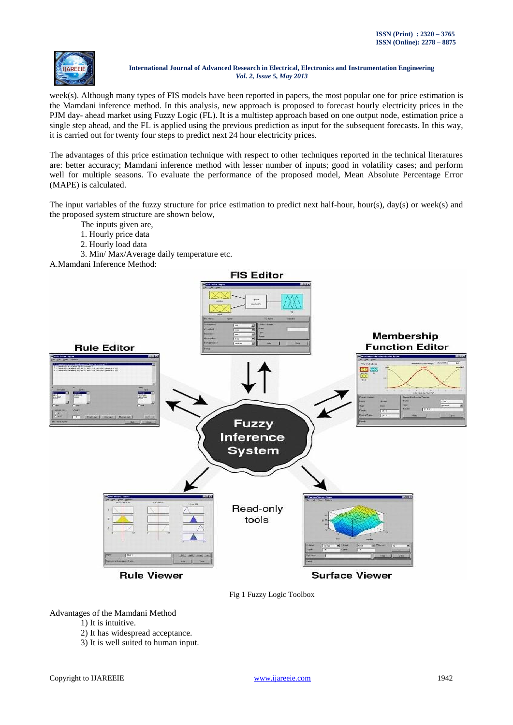

week(s). Although many types of FIS models have been reported in papers, the most popular one for price estimation is the Mamdani inference method. In this analysis, new approach is proposed to forecast hourly electricity prices in the PJM day- ahead market using Fuzzy Logic (FL). It is a multistep approach based on one output node, estimation price a single step ahead, and the FL is applied using the previous prediction as input for the subsequent forecasts. In this way, it is carried out for twenty four steps to predict next 24 hour electricity prices.

The advantages of this price estimation technique with respect to other techniques reported in the technical literatures are: better accuracy; Mamdani inference method with lesser number of inputs; good in volatility cases; and perform well for multiple seasons. To evaluate the performance of the proposed model, Mean Absolute Percentage Error (MAPE) is calculated.

The input variables of the fuzzy structure for price estimation to predict next half-hour, hour(s), day(s) or week(s) and the proposed system structure are shown below,

- The inputs given are,
- 1. Hourly price data
- 2. Hourly load data
- 3. Min/ Max/Average daily temperature etc.
- A.Mamdani Inference Method:



Fig 1 Fuzzy Logic Toolbox

Advantages of the Mamdani Method

- 1) It is intuitive.
- 2) It has widespread acceptance.
- 3) It is well suited to human input.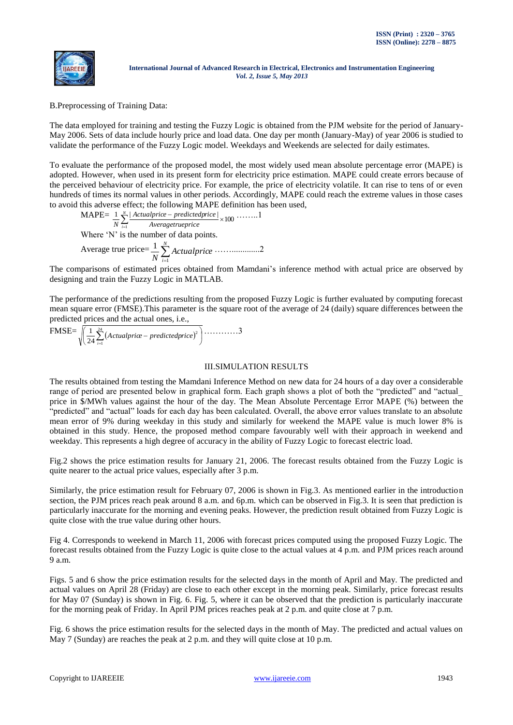

B.Preprocessing of Training Data:

The data employed for training and testing the Fuzzy Logic is obtained from the PJM website for the period of January-May 2006. Sets of data include hourly price and load data. One day per month (January-May) of year 2006 is studied to validate the performance of the Fuzzy Logic model. Weekdays and Weekends are selected for daily estimates.

To evaluate the performance of the proposed model, the most widely used mean absolute percentage error (MAPE) is adopted. However, when used in its present form for electricity price estimation. MAPE could create errors because of the perceived behaviour of electricity price. For example, the price of electricity volatile. It can rise to tens of or even hundreds of times its normal values in other periods. Accordingly, MAPE could reach the extreme values in those cases to avoid this adverse effect; the following MAPE definition has been used,

MAPE=
$$
\frac{1}{N} \sum_{i=1}^{N} \frac{|Actualprice - predictedprice|}{Averagetrue price} \times 100 \cdots 1
$$
  
Where 'N' is the number of data points.  
Average true price=
$$
\frac{1}{N} \sum_{i=1}^{N} Actualprice \cdots 2
$$

The comparisons of estimated prices obtained from Mamdani"s inference method with actual price are observed by designing and train the Fuzzy Logic in MATLAB.

The performance of the predictions resulting from the proposed Fuzzy Logic is further evaluated by computing forecast mean square error (FMSE).This parameter is the square root of the average of 24 (daily) square differences between the predicted prices and the actual ones, i.e.,

$$
\text{FMSE} = \sqrt{\left(\frac{1}{24}\sum_{i=1}^{24} (Actualprice - predictedprice)^2\right)} \dots \dots \dots \dots 3
$$

## III.SIMULATION RESULTS

The results obtained from testing the Mamdani Inference Method on new data for 24 hours of a day over a considerable range of period are presented below in graphical form. Each graph shows a plot of both the "predicted" and "actual\_ price in \$/MWh values against the hour of the day. The Mean Absolute Percentage Error MAPE (%) between the "predicted" and "actual" loads for each day has been calculated. Overall, the above error values translate to an absolute mean error of 9% during weekday in this study and similarly for weekend the MAPE value is much lower 8% is obtained in this study. Hence, the proposed method compare favourably well with their approach in weekend and weekday. This represents a high degree of accuracy in the ability of Fuzzy Logic to forecast electric load.

Fig.2 shows the price estimation results for January 21, 2006. The forecast results obtained from the Fuzzy Logic is quite nearer to the actual price values, especially after 3 p.m.

Similarly, the price estimation result for February 07, 2006 is shown in Fig.3. As mentioned earlier in the introduction section, the PJM prices reach peak around 8 a.m. and 6p.m. which can be observed in Fig.3. It is seen that prediction is particularly inaccurate for the morning and evening peaks. However, the prediction result obtained from Fuzzy Logic is quite close with the true value during other hours.

Fig 4. Corresponds to weekend in March 11, 2006 with forecast prices computed using the proposed Fuzzy Logic. The forecast results obtained from the Fuzzy Logic is quite close to the actual values at 4 p.m. and PJM prices reach around 9 a.m.

Figs. 5 and 6 show the price estimation results for the selected days in the month of April and May. The predicted and actual values on April 28 (Friday) are close to each other except in the morning peak. Similarly, price forecast results for May 07 (Sunday) is shown in Fig. 6. Fig. 5, where it can be observed that the prediction is particularly inaccurate for the morning peak of Friday. In April PJM prices reaches peak at 2 p.m. and quite close at 7 p.m.

Fig. 6 shows the price estimation results for the selected days in the month of May. The predicted and actual values on May 7 (Sunday) are reaches the peak at 2 p.m. and they will quite close at 10 p.m.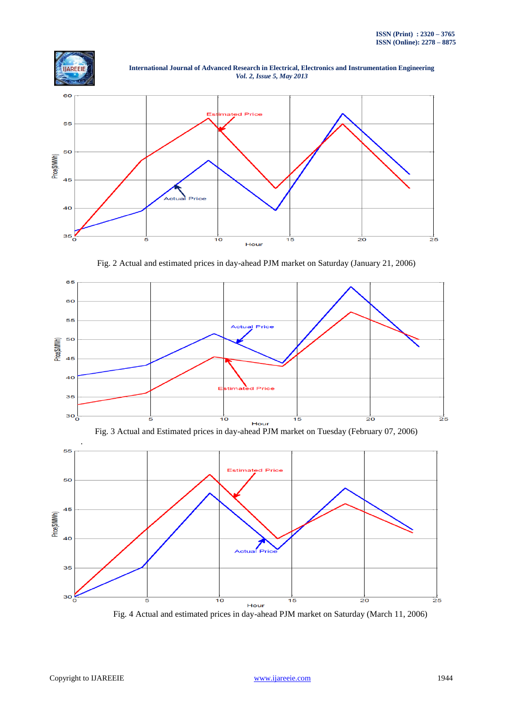

 **International Journal of Advanced Research in Electrical, Electronics and Instrumentation Engineering**  *Vol. 2, Issue 5, May 2013*



Fig. 2 Actual and estimated prices in day-ahead PJM market on Saturday (January 21, 2006)







Fig. 4 Actual and estimated prices in day-ahead PJM market on Saturday (March 11, 2006)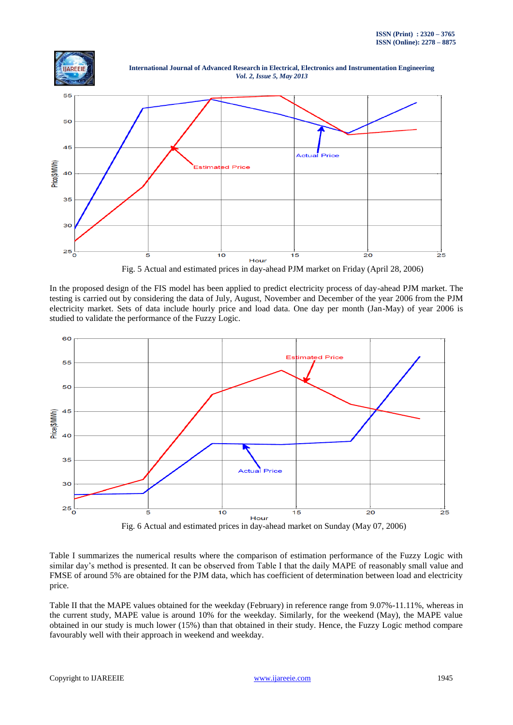

 **International Journal of Advanced Research in Electrical, Electronics and Instrumentation Engineering**  *Vol. 2, Issue 5, May 2013*



Fig. 5 Actual and estimated prices in day-ahead PJM market on Friday (April 28, 2006)

In the proposed design of the FIS model has been applied to predict electricity process of day-ahead PJM market. The testing is carried out by considering the data of July, August, November and December of the year 2006 from the PJM electricity market. Sets of data include hourly price and load data. One day per month (Jan-May) of year 2006 is studied to validate the performance of the Fuzzy Logic.



Table I summarizes the numerical results where the comparison of estimation performance of the Fuzzy Logic with similar day's method is presented. It can be observed from Table I that the daily MAPE of reasonably small value and FMSE of around 5% are obtained for the PJM data, which has coefficient of determination between load and electricity price.

Table II that the MAPE values obtained for the weekday (February) in reference range from 9.07%-11.11%, whereas in the current study, MAPE value is around 10% for the weekday. Similarly, for the weekend (May), the MAPE value obtained in our study is much lower (15%) than that obtained in their study. Hence, the Fuzzy Logic method compare favourably well with their approach in weekend and weekday.